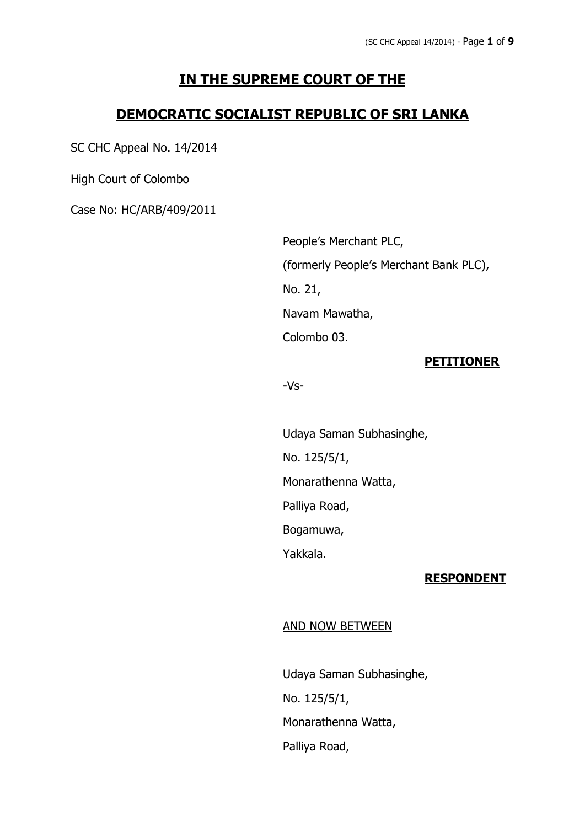# **IN THE SUPREME COURT OF THE**

# **DEMOCRATIC SOCIALIST REPUBLIC OF SRI LANKA**

SC CHC Appeal No. 14/2014

High Court of Colombo

Case No: HC/ARB/409/2011

People's Merchant PLC, (formerly People's Merchant Bank PLC), No. 21, Navam Mawatha, Colombo 03.

## **PETITIONER**

-Vs-

Udaya Saman Subhasinghe, No. 125/5/1, Monarathenna Watta, Palliya Road, Bogamuwa, Yakkala.

### **RESPONDENT**

### AND NOW BETWEEN

Udaya Saman Subhasinghe, No. 125/5/1, Monarathenna Watta, Palliya Road,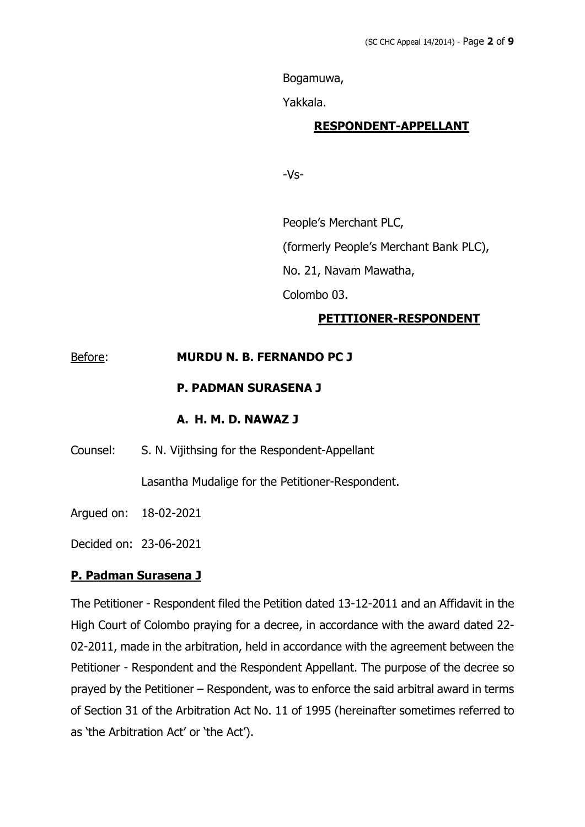Bogamuwa,

Yakkala.

## **RESPONDENT-APPELLANT**

-Vs-

People's Merchant PLC,

(formerly People's Merchant Bank PLC),

No. 21, Navam Mawatha,

Colombo 03.

# **PETITIONER-RESPONDENT**

# Before: **MURDU N. B. FERNANDO PC J**

# **P. PADMAN SURASENA J**

## **A. H. M. D. NAWAZ J**

Counsel: S. N. Vijithsing for the Respondent-Appellant

Lasantha Mudalige for the Petitioner-Respondent.

Argued on: 18-02-2021

Decided on: 23-06-2021

# **P. Padman Surasena J**

The Petitioner - Respondent filed the Petition dated 13-12-2011 and an Affidavit in the High Court of Colombo praying for a decree, in accordance with the award dated 22- 02-2011, made in the arbitration, held in accordance with the agreement between the Petitioner - Respondent and the Respondent Appellant. The purpose of the decree so prayed by the Petitioner – Respondent, was to enforce the said arbitral award in terms of Section 31 of the Arbitration Act No. 11 of 1995 (hereinafter sometimes referred to as 'the Arbitration Act' or 'the Act').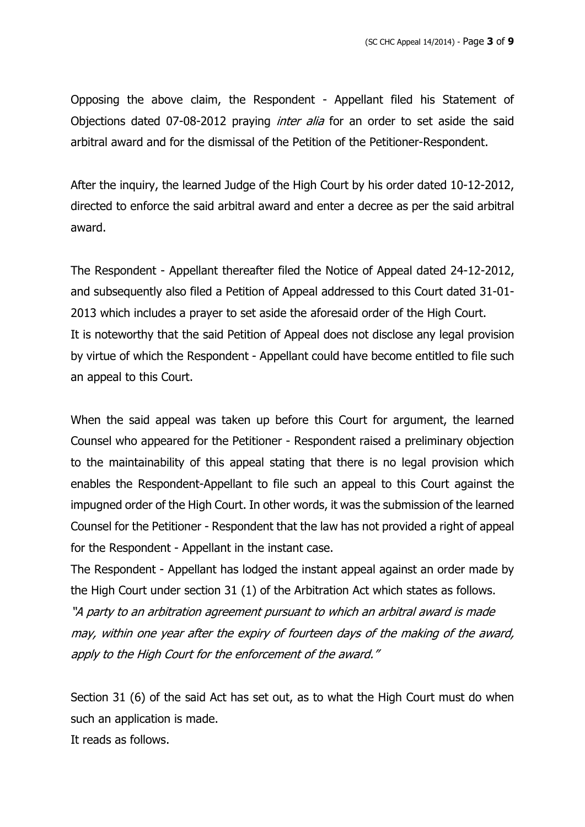Opposing the above claim, the Respondent - Appellant filed his Statement of Objections dated 07-08-2012 praying *inter alia* for an order to set aside the said arbitral award and for the dismissal of the Petition of the Petitioner-Respondent.

After the inquiry, the learned Judge of the High Court by his order dated 10-12-2012, directed to enforce the said arbitral award and enter a decree as per the said arbitral award.

The Respondent - Appellant thereafter filed the Notice of Appeal dated 24-12-2012, and subsequently also filed a Petition of Appeal addressed to this Court dated 31-01- 2013 which includes a prayer to set aside the aforesaid order of the High Court. It is noteworthy that the said Petition of Appeal does not disclose any legal provision by virtue of which the Respondent - Appellant could have become entitled to file such an appeal to this Court.

When the said appeal was taken up before this Court for argument, the learned Counsel who appeared for the Petitioner - Respondent raised a preliminary objection to the maintainability of this appeal stating that there is no legal provision which enables the Respondent-Appellant to file such an appeal to this Court against the impugned order of the High Court. In other words, it was the submission of the learned Counsel for the Petitioner - Respondent that the law has not provided a right of appeal for the Respondent - Appellant in the instant case.

The Respondent - Appellant has lodged the instant appeal against an order made by the High Court under section 31 (1) of the Arbitration Act which states as follows. "A party to an arbitration agreement pursuant to which an arbitral award is made may, within one year after the expiry of fourteen days of the making of the award, apply to the High Court for the enforcement of the award."

Section 31 (6) of the said Act has set out, as to what the High Court must do when such an application is made. It reads as follows.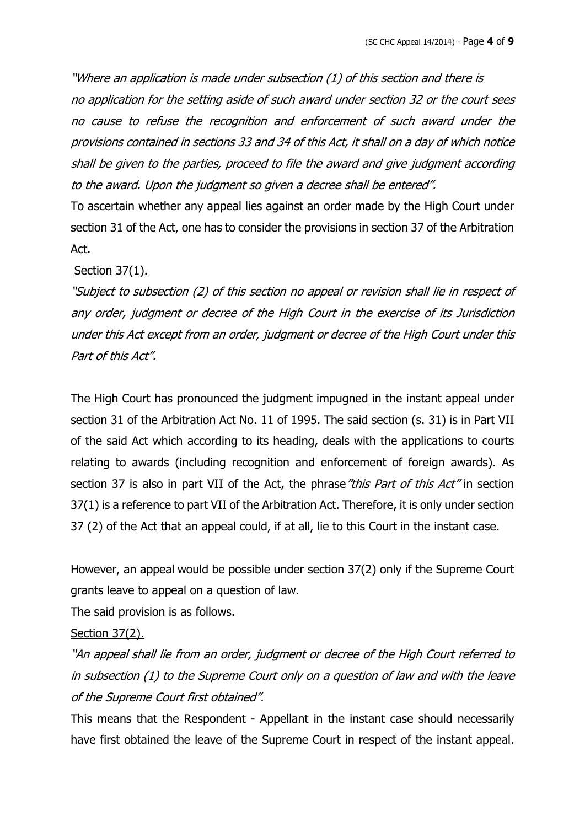"Where an application is made under subsection (1) of this section and there is no application for the setting aside of such award under section 32 or the court sees no cause to refuse the recognition and enforcement of such award under the provisions contained in sections 33 and 34 of this Act, it shall on <sup>a</sup> day of which notice shall be given to the parties, proceed to file the award and give judgment according to the award. Upon the judgment so given <sup>a</sup> decree shall be entered".

To ascertain whether any appeal lies against an order made by the High Court under section 31 of the Act, one has to consider the provisions in section 37 of the Arbitration Act.

## Section 37(1).

"Subject to subsection (2) of this section no appeal or revision shall lie in respect of any order, judgment or decree of the High Court in the exercise of its Jurisdiction under this Act except from an order, judgment or decree of the High Court under this Part of this Act".

The High Court has pronounced the judgment impugned in the instant appeal under section 31 of the Arbitration Act No. 11 of 1995. The said section (s. 31) is in Part VII of the said Act which according to its heading, deals with the applications to courts relating to awards (including recognition and enforcement of foreign awards). As section 37 is also in part VII of the Act, the phrase "this Part of this Act" in section 37(1) is a reference to part VII of the Arbitration Act. Therefore, it is only under section 37 (2) of the Act that an appeal could, if at all, lie to this Court in the instant case.

However, an appeal would be possible under section 37(2) only if the Supreme Court grants leave to appeal on a question of law.

The said provision is as follows.

## Section 37(2).

"An appeal shall lie from an order, judgment or decree of the High Court referred to in subsection (1) to the Supreme Court only on <sup>a</sup> question of law and with the leave of the Supreme Court first obtained".

This means that the Respondent - Appellant in the instant case should necessarily have first obtained the leave of the Supreme Court in respect of the instant appeal.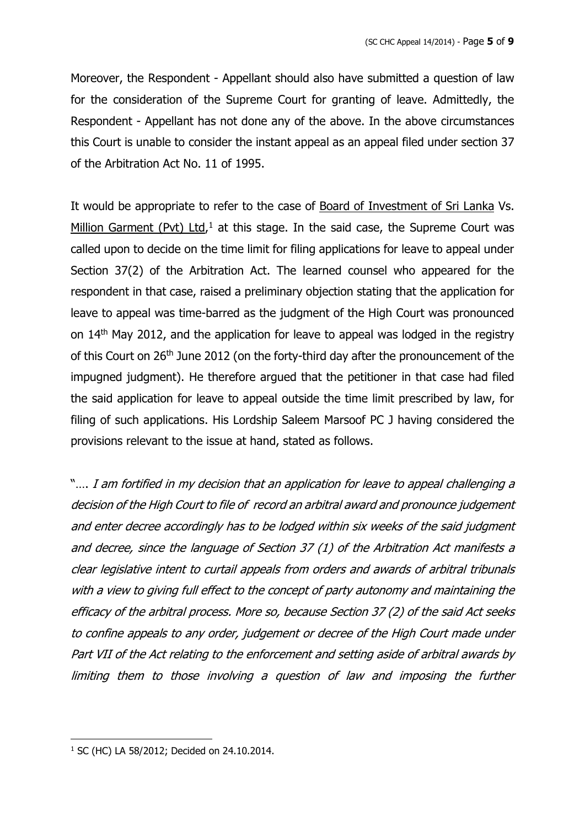Moreover, the Respondent - Appellant should also have submitted a question of law for the consideration of the Supreme Court for granting of leave. Admittedly, the Respondent - Appellant has not done any of the above. In the above circumstances this Court is unable to consider the instant appeal as an appeal filed under section 37 of the Arbitration Act No. 11 of 1995.

It would be appropriate to refer to the case of Board of Investment of Sri Lanka Vs. Million Garment (Pvt) Ltd,<sup>1</sup> at this stage. In the said case, the Supreme Court was called upon to decide on the time limit for filing applications for leave to appeal under Section 37(2) of the Arbitration Act. The learned counsel who appeared for the respondent in that case, raised a preliminary objection stating that the application for leave to appeal was time-barred as the judgment of the High Court was pronounced on 14<sup>th</sup> May 2012, and the application for leave to appeal was lodged in the registry of this Court on 26<sup>th</sup> June 2012 (on the forty-third day after the pronouncement of the impugned judgment). He therefore argued that the petitioner in that case had filed the said application for leave to appeal outside the time limit prescribed by law, for filing of such applications. His Lordship Saleem Marsoof PC J having considered the provisions relevant to the issue at hand, stated as follows.

".... I am fortified in my decision that an application for leave to appeal challenging a decision of the High Court to file of record an arbitral award and pronounce judgement and enter decree accordingly has to be lodged within six weeks of the said judgment and decree, since the language of Section 37 (1) of the Arbitration Act manifests <sup>a</sup> clear legislative intent to curtail appeals from orders and awards of arbitral tribunals with <sup>a</sup> view to giving full effect to the concept of party autonomy and maintaining the efficacy of the arbitral process. More so, because Section 37 (2) of the said Act seeks to confine appeals to any order, judgement or decree of the High Court made under Part VII of the Act relating to the enforcement and setting aside of arbitral awards by limiting them to those involving <sup>a</sup> question of law and imposing the further

<sup>1</sup> SC (HC) LA 58/2012; Decided on 24.10.2014.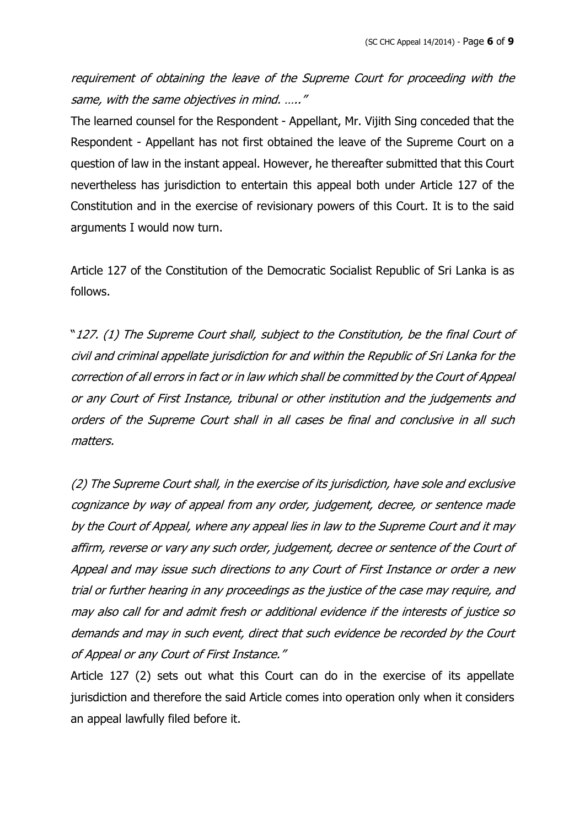requirement of obtaining the leave of the Supreme Court for proceeding with the same, with the same objectives in mind. ....."

The learned counsel for the Respondent - Appellant, Mr. Vijith Sing conceded that the Respondent - Appellant has not first obtained the leave of the Supreme Court on a question of law in the instant appeal. However, he thereafter submitted that this Court nevertheless has jurisdiction to entertain this appeal both under Article 127 of the Constitution and in the exercise of revisionary powers of this Court. It is to the said arguments I would now turn.

Article 127 of the Constitution of the Democratic Socialist Republic of Sri Lanka is as follows.

"127. (1) The Supreme Court shall, subject to the Constitution, be the final Court of civil and criminal appellate jurisdiction for and within the Republic of Sri Lanka for the correction of all errors in fact or in law which shall be committed by the Court of Appeal or any Court of First Instance, tribunal or other institution and the judgements and orders of the Supreme Court shall in all cases be final and conclusive in all such matters.

(2) The Supreme Court shall, in the exercise of its jurisdiction, have sole and exclusive cognizance by way of appeal from any order, judgement, decree, or sentence made by the Court of Appeal, where any appeal lies in law to the Supreme Court and it may affirm, reverse or vary any such order, judgement, decree or sentence of the Court of Appeal and may issue such directions to any Court of First Instance or order <sup>a</sup> new trial or further hearing in any proceedings as the justice of the case may require, and may also call for and admit fresh or additional evidence if the interests of justice so demands and may in such event, direct that such evidence be recorded by the Court of Appeal or any Court of First Instance."

Article 127 (2) sets out what this Court can do in the exercise of its appellate jurisdiction and therefore the said Article comes into operation only when it considers an appeal lawfully filed before it.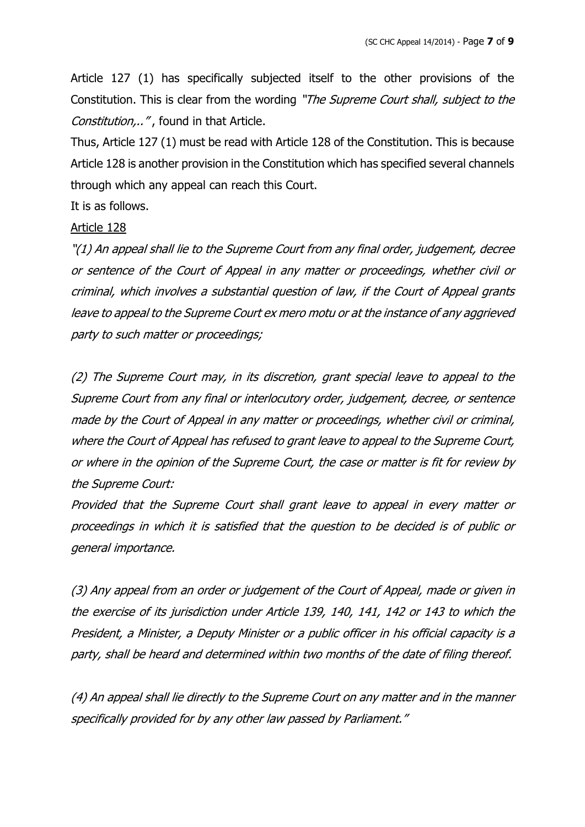Article 127 (1) has specifically subjected itself to the other provisions of the Constitution. This is clear from the wording "The Supreme Court shall, subject to the Constitution,..", found in that Article.

Thus, Article 127 (1) must be read with Article 128 of the Constitution. This is because Article 128 is another provision in the Constitution which has specified several channels through which any appeal can reach this Court.

It is as follows.

#### Article 128

"(1) An appeal shall lie to the Supreme Court from any final order, judgement, decree or sentence of the Court of Appeal in any matter or proceedings, whether civil or criminal, which involves <sup>a</sup> substantial question of law, if the Court of Appeal grants leave to appeal to the Supreme Court ex mero motu or at the instance of any aggrieved party to such matter or proceedings;

(2) The Supreme Court may, in its discretion, grant special leave to appeal to the Supreme Court from any final or interlocutory order, judgement, decree, or sentence made by the Court of Appeal in any matter or proceedings, whether civil or criminal, where the Court of Appeal has refused to grant leave to appeal to the Supreme Court, or where in the opinion of the Supreme Court, the case or matter is fit for review by the Supreme Court:

Provided that the Supreme Court shall grant leave to appeal in every matter or proceedings in which it is satisfied that the question to be decided is of public or general importance.

(3) Any appeal from an order or judgement of the Court of Appeal, made or given in the exercise of its jurisdiction under Article 139, 140, 141, 142 or 143 to which the President, <sup>a</sup> Minister, <sup>a</sup> Deputy Minister or <sup>a</sup> public officer in his official capacity is <sup>a</sup> party, shall be heard and determined within two months of the date of filing thereof.

(4) An appeal shall lie directly to the Supreme Court on any matter and in the manner specifically provided for by any other law passed by Parliament."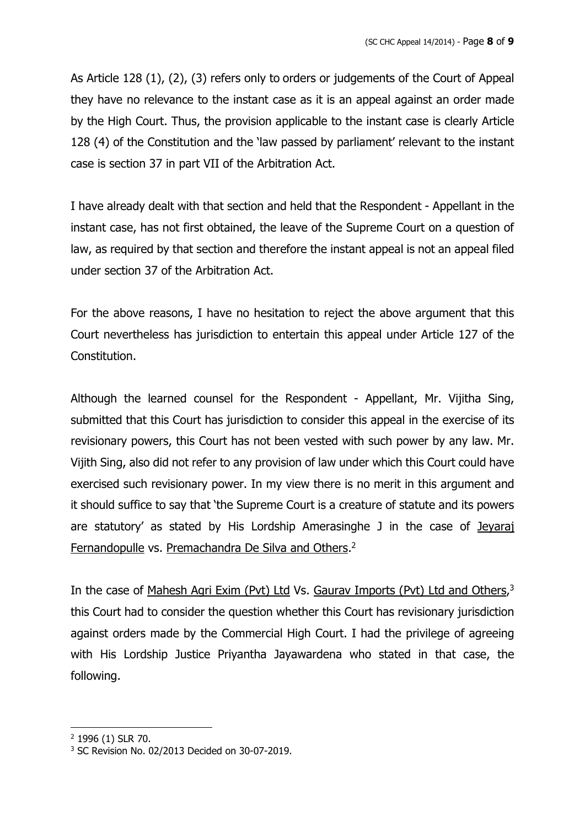As Article 128 (1), (2), (3) refers only to orders or judgements of the Court of Appeal they have no relevance to the instant case as it is an appeal against an order made by the High Court. Thus, the provision applicable to the instant case is clearly Article 128 (4) of the Constitution and the 'law passed by parliament' relevant to the instant case is section 37 in part VII of the Arbitration Act.

I have already dealt with that section and held that the Respondent - Appellant in the instant case, has not first obtained, the leave of the Supreme Court on a question of law, as required by that section and therefore the instant appeal is not an appeal filed under section 37 of the Arbitration Act.

For the above reasons, I have no hesitation to reject the above argument that this Court nevertheless has jurisdiction to entertain this appeal under Article 127 of the Constitution.

Although the learned counsel for the Respondent - Appellant, Mr. Vijitha Sing, submitted that this Court has jurisdiction to consider this appeal in the exercise of its revisionary powers, this Court has not been vested with such power by any law. Mr. Vijith Sing, also did not refer to any provision of law under which this Court could have exercised such revisionary power. In my view there is no merit in this argument and it should suffice to say that 'the Supreme Court is a creature of statute and its powers are statutory' as stated by His Lordship Amerasinghe J in the case of Jeyaraj Fernandopulle vs. Premachandra De Silva and Others.<sup>2</sup>

In the case of Mahesh Agri Exim (Pvt) Ltd Vs. Gaurav Imports (Pvt) Ltd and Others,<sup>3</sup> this Court had to consider the question whether this Court has revisionary jurisdiction against orders made by the Commercial High Court. I had the privilege of agreeing with His Lordship Justice Priyantha Jayawardena who stated in that case, the following.

<sup>2</sup> 1996 (1) SLR 70.

<sup>3</sup> SC Revision No. 02/2013 Decided on 30-07-2019.